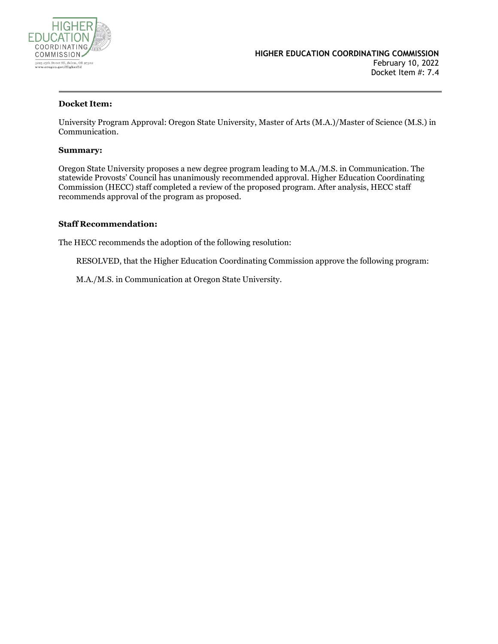

#### **Docket Item:**

University Program Approval: Oregon State University, Master of Arts (M.A.)/Master of Science (M.S.) in Communication.

#### **Summary:**

Oregon State University proposes a new degree program leading to M.A./M.S. in Communication. The statewide Provosts' Council has unanimously recommended approval. Higher Education Coordinating Commission (HECC) staff completed a review of the proposed program. After analysis, HECC staff recommends approval of the program as proposed.

#### **Staff Recommendation:**

The HECC recommends the adoption of the following resolution:

RESOLVED, that the Higher Education Coordinating Commission approve the following program:

M.A./M.S. in Communication at Oregon State University.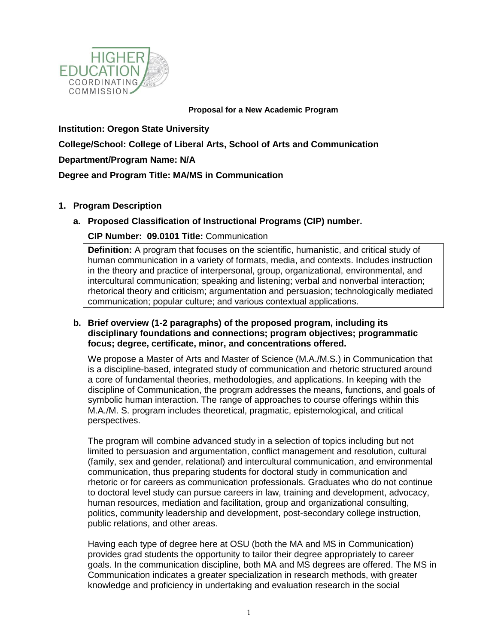

#### **Proposal for a New Academic Program**

**Institution: Oregon State University College/School: College of Liberal Arts, School of Arts and Communication Department/Program Name: N/A Degree and Program Title: MA/MS in Communication**

## **1. Program Description**

## **a. Proposed Classification of Instructional Programs (CIP) number.**

## **CIP Number: 09.0101 Title:** Communication

**Definition:** A program that focuses on the scientific, humanistic, and critical study of human communication in a variety of formats, media, and contexts. Includes instruction in the theory and practice of interpersonal, group, organizational, environmental, and intercultural communication; speaking and listening; verbal and nonverbal interaction; rhetorical theory and criticism; argumentation and persuasion; technologically mediated communication; popular culture; and various contextual applications.

## **b. Brief overview (1-2 paragraphs) of the proposed program, including its disciplinary foundations and connections; program objectives; programmatic focus; degree, certificate, minor, and concentrations offered.**

We propose a Master of Arts and Master of Science (M.A./M.S.) in Communication that is a discipline-based, integrated study of communication and rhetoric structured around a core of fundamental theories, methodologies, and applications. In keeping with the discipline of Communication, the program addresses the means, functions, and goals of symbolic human interaction. The range of approaches to course offerings within this M.A./M. S. program includes theoretical, pragmatic, epistemological, and critical perspectives.

The program will combine advanced study in a selection of topics including but not limited to persuasion and argumentation, conflict management and resolution, cultural (family, sex and gender, relational) and intercultural communication, and environmental communication, thus preparing students for doctoral study in communication and rhetoric or for careers as communication professionals. Graduates who do not continue to doctoral level study can pursue careers in law, training and development, advocacy, human resources, mediation and facilitation, group and organizational consulting, politics, community leadership and development, post-secondary college instruction, public relations, and other areas.

Having each type of degree here at OSU (both the MA and MS in Communication) provides grad students the opportunity to tailor their degree appropriately to career goals. In the communication discipline, both MA and MS degrees are offered. The MS in Communication indicates a greater specialization in research methods, with greater knowledge and proficiency in undertaking and evaluation research in the social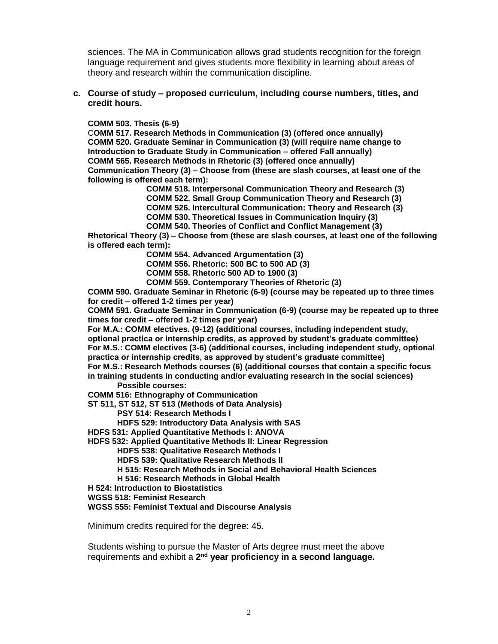sciences. The MA in Communication allows grad students recognition for the foreign language requirement and gives students more flexibility in learning about areas of theory and research within the communication discipline.

**c. Course of study – proposed curriculum, including course numbers, titles, and credit hours.**

#### **COMM 503. Thesis (6-9)**

C**OMM 517. Research Methods in Communication (3) (offered once annually) COMM 520. Graduate Seminar in Communication (3) (will require name change to Introduction to Graduate Study in Communication – offered Fall annually) COMM 565. Research Methods in Rhetoric (3) (offered once annually) Communication Theory (3) – Choose from (these are slash courses, at least one of the following is offered each term):**

**COMM 518. Interpersonal Communication Theory and Research (3)**

**COMM 522. Small Group Communication Theory and Research (3)**

**COMM 526. Intercultural Communication: Theory and Research (3)**

**COMM 530. Theoretical Issues in Communication Inquiry (3)**

**COMM 540. Theories of Conflict and Conflict Management (3)**

**Rhetorical Theory (3) – Choose from (these are slash courses, at least one of the following is offered each term):** 

**COMM 554. Advanced Argumentation (3)**

**COMM 556. Rhetoric: 500 BC to 500 AD (3)**

**COMM 558. Rhetoric 500 AD to 1900 (3)**

**COMM 559. Contemporary Theories of Rhetoric (3)**

**COMM 590. Graduate Seminar in Rhetoric (6-9) (course may be repeated up to three times for credit – offered 1-2 times per year)**

**COMM 591. Graduate Seminar in Communication (6-9) (course may be repeated up to three times for credit – offered 1-2 times per year)**

**For M.A.: COMM electives. (9-12) (additional courses, including independent study,** 

**optional practica or internship credits, as approved by student's graduate committee) For M.S.: COMM electives (3-6) (additional courses, including independent study, optional practica or internship credits, as approved by student's graduate committee)** 

**For M.S.: Research Methods courses (6) (additional courses that contain a specific focus in training students in conducting and/or evaluating research in the social sciences)** 

**Possible courses:** 

**COMM 516: Ethnography of Communication**

**ST 511, ST 512, ST 513 (Methods of Data Analysis)**

**PSY 514: Research Methods I**

**HDFS 529: Introductory Data Analysis with SAS**

**HDFS 531: Applied Quantitative Methods I: ANOVA**

**HDFS 532: Applied Quantitative Methods II: Linear Regression**

**HDFS 538: Qualitative Research Methods I**

**HDFS 539: Qualitative Research Methods II**

**H 515: Research Methods in Social and Behavioral Health Sciences**

**H 516: Research Methods in Global Health**

**H 524: Introduction to Biostatistics**

**WGSS 518: Feminist Research**

**WGSS 555: Feminist Textual and Discourse Analysis**

Minimum credits required for the degree: 45.

Students wishing to pursue the Master of Arts degree must meet the above requirements and exhibit a 2<sup>nd</sup> year proficiency in a second language.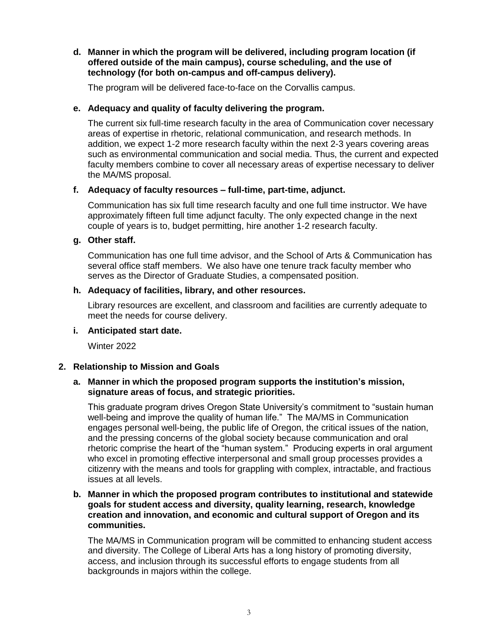## **d. Manner in which the program will be delivered, including program location (if offered outside of the main campus), course scheduling, and the use of technology (for both on-campus and off-campus delivery).**

The program will be delivered face-to-face on the Corvallis campus.

## **e. Adequacy and quality of faculty delivering the program.**

The current six full-time research faculty in the area of Communication cover necessary areas of expertise in rhetoric, relational communication, and research methods. In addition, we expect 1-2 more research faculty within the next 2-3 years covering areas such as environmental communication and social media. Thus, the current and expected faculty members combine to cover all necessary areas of expertise necessary to deliver the MA/MS proposal.

## **f. Adequacy of faculty resources – full-time, part-time, adjunct.**

Communication has six full time research faculty and one full time instructor. We have approximately fifteen full time adjunct faculty. The only expected change in the next couple of years is to, budget permitting, hire another 1-2 research faculty.

#### **g. Other staff.**

Communication has one full time advisor, and the School of Arts & Communication has several office staff members. We also have one tenure track faculty member who serves as the Director of Graduate Studies, a compensated position.

## **h. Adequacy of facilities, library, and other resources.**

Library resources are excellent, and classroom and facilities are currently adequate to meet the needs for course delivery.

**i. Anticipated start date.**

Winter 2022

## **2. Relationship to Mission and Goals**

## **a. Manner in which the proposed program supports the institution's mission, signature areas of focus, and strategic priorities.**

This graduate program drives Oregon State University's commitment to "sustain human well-being and improve the quality of human life." The MA/MS in Communication engages personal well-being, the public life of Oregon, the critical issues of the nation, and the pressing concerns of the global society because communication and oral rhetoric comprise the heart of the "human system." Producing experts in oral argument who excel in promoting effective interpersonal and small group processes provides a citizenry with the means and tools for grappling with complex, intractable, and fractious issues at all levels.

## **b. Manner in which the proposed program contributes to institutional and statewide goals for student access and diversity, quality learning, research, knowledge creation and innovation, and economic and cultural support of Oregon and its communities.**

The MA/MS in Communication program will be committed to enhancing student access and diversity. The College of Liberal Arts has a long history of promoting diversity, access, and inclusion through its successful efforts to engage students from all backgrounds in majors within the college.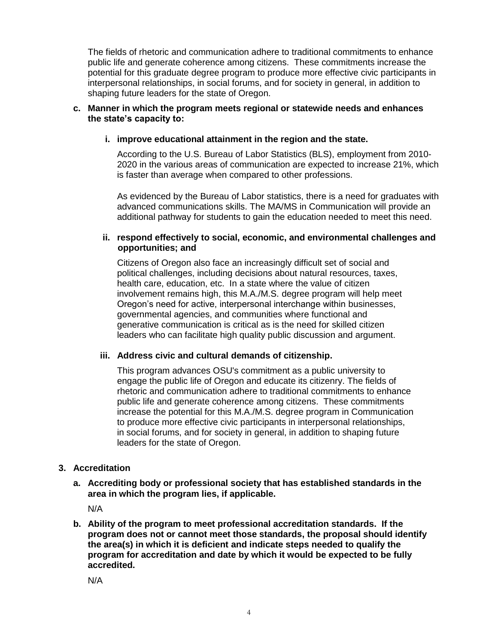The fields of rhetoric and communication adhere to traditional commitments to enhance public life and generate coherence among citizens. These commitments increase the potential for this graduate degree program to produce more effective civic participants in interpersonal relationships, in social forums, and for society in general, in addition to shaping future leaders for the state of Oregon.

## **c. Manner in which the program meets regional or statewide needs and enhances the state's capacity to:**

## **i. improve educational attainment in the region and the state.**

According to the U.S. Bureau of Labor Statistics (BLS), employment from 2010- 2020 in the various areas of communication are expected to increase 21%, which is faster than average when compared to other professions.

As evidenced by the Bureau of Labor statistics, there is a need for graduates with advanced communications skills. The MA/MS in Communication will provide an additional pathway for students to gain the education needed to meet this need.

## **ii. respond effectively to social, economic, and environmental challenges and opportunities; and**

Citizens of Oregon also face an increasingly difficult set of social and political challenges, including decisions about natural resources, taxes, health care, education, etc. In a state where the value of citizen involvement remains high, this M.A./M.S. degree program will help meet Oregon's need for active, interpersonal interchange within businesses, governmental agencies, and communities where functional and generative communication is critical as is the need for skilled citizen leaders who can facilitate high quality public discussion and argument.

#### **iii. Address civic and cultural demands of citizenship.**

This program advances OSU's commitment as a public university to engage the public life of Oregon and educate its citizenry. The fields of rhetoric and communication adhere to traditional commitments to enhance public life and generate coherence among citizens. These commitments increase the potential for this M.A./M.S. degree program in Communication to produce more effective civic participants in interpersonal relationships, in social forums, and for society in general, in addition to shaping future leaders for the state of Oregon.

## **3. Accreditation**

**a. Accrediting body or professional society that has established standards in the area in which the program lies, if applicable.**

N/A

**b. Ability of the program to meet professional accreditation standards. If the program does not or cannot meet those standards, the proposal should identify the area(s) in which it is deficient and indicate steps needed to qualify the program for accreditation and date by which it would be expected to be fully accredited.**

N/A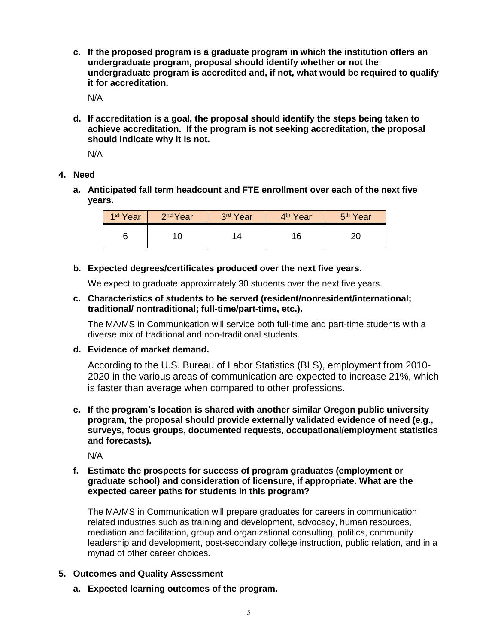**c. If the proposed program is a graduate program in which the institution offers an undergraduate program, proposal should identify whether or not the undergraduate program is accredited and, if not, what would be required to qualify it for accreditation.**

N/A

**d. If accreditation is a goal, the proposal should identify the steps being taken to achieve accreditation. If the program is not seeking accreditation, the proposal should indicate why it is not.**

N/A

## **4. Need**

**a. Anticipated fall term headcount and FTE enrollment over each of the next five years.**

| 1 <sup>st</sup> Year | 2 <sup>nd</sup> Year | 3rd Year             | 4 <sup>th</sup> Year | 5 <sup>th</sup> Year |
|----------------------|----------------------|----------------------|----------------------|----------------------|
|                      |                      | $^{\prime}$ $\Delta$ | 16                   |                      |

## **b. Expected degrees/certificates produced over the next five years.**

We expect to graduate approximately 30 students over the next five years.

**c. Characteristics of students to be served (resident/nonresident/international; traditional/ nontraditional; full-time/part-time, etc.).**

The MA/MS in Communication will service both full-time and part-time students with a diverse mix of traditional and non-traditional students.

## **d. Evidence of market demand.**

According to the U.S. Bureau of Labor Statistics (BLS), employment from 2010- 2020 in the various areas of communication are expected to increase 21%, which is faster than average when compared to other professions.

**e. If the program's location is shared with another similar Oregon public university program, the proposal should provide externally validated evidence of need (e.g., surveys, focus groups, documented requests, occupational/employment statistics and forecasts).** 

N/A

## **f. Estimate the prospects for success of program graduates (employment or graduate school) and consideration of licensure, if appropriate. What are the expected career paths for students in this program?**

The MA/MS in Communication will prepare graduates for careers in communication related industries such as training and development, advocacy, human resources, mediation and facilitation, group and organizational consulting, politics, community leadership and development, post-secondary college instruction, public relation, and in a myriad of other career choices.

## **5. Outcomes and Quality Assessment**

**a. Expected learning outcomes of the program.**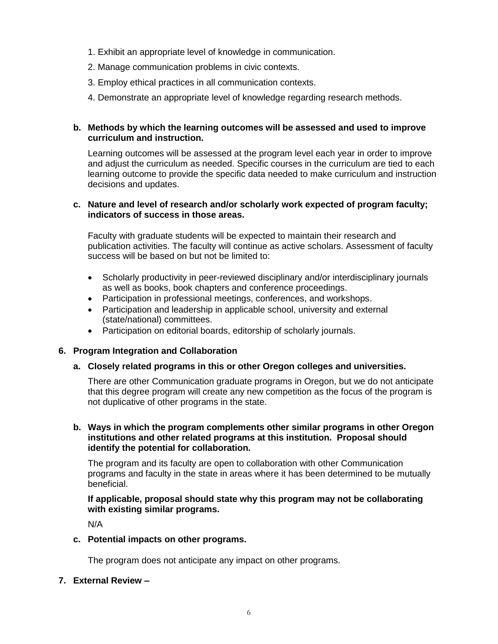- 1. Exhibit an appropriate level of knowledge in communication.
- 2. Manage communication problems in civic contexts.
- 3. Employ ethical practices in all communication contexts.
- 4. Demonstrate an appropriate level of knowledge regarding research methods.

## **b. Methods by which the learning outcomes will be assessed and used to improve curriculum and instruction.**

Learning outcomes will be assessed at the program level each year in order to improve and adjust the curriculum as needed. Specific courses in the curriculum are tied to each learning outcome to provide the specific data needed to make curriculum and instruction decisions and updates.

## **c. Nature and level of research and/or scholarly work expected of program faculty; indicators of success in those areas.**

Faculty with graduate students will be expected to maintain their research and publication activities. The faculty will continue as active scholars. Assessment of faculty success will be based on but not be limited to:

- Scholarly productivity in peer-reviewed disciplinary and/or interdisciplinary journals as well as books, book chapters and conference proceedings.
- Participation in professional meetings, conferences, and workshops.
- Participation and leadership in applicable school, university and external (state/national) committees.
- Participation on editorial boards, editorship of scholarly journals.

#### **6. Program Integration and Collaboration**

#### **a. Closely related programs in this or other Oregon colleges and universities.**

There are other Communication graduate programs in Oregon, but we do not anticipate that this degree program will create any new competition as the focus of the program is not duplicative of other programs in the state.

## **b. Ways in which the program complements other similar programs in other Oregon institutions and other related programs at this institution. Proposal should identify the potential for collaboration.**

The program and its faculty are open to collaboration with other Communication programs and faculty in the state in areas where it has been determined to be mutually beneficial.

#### **If applicable, proposal should state why this program may not be collaborating with existing similar programs.**

N/A

**c. Potential impacts on other programs.**

The program does not anticipate any impact on other programs.

#### **7. External Review –**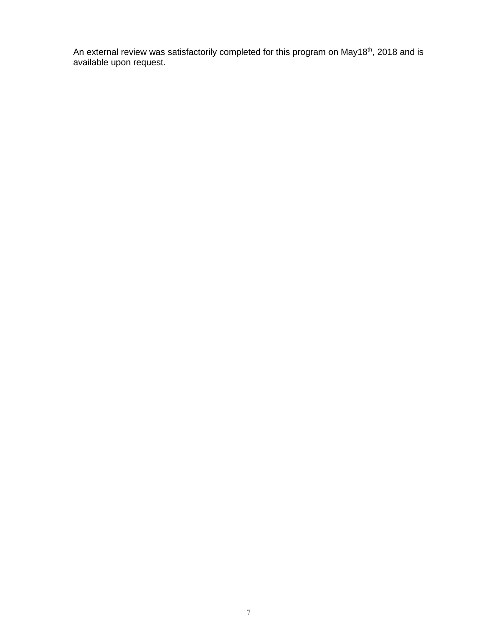An external review was satisfactorily completed for this program on May18<sup>th</sup>, 2018 and is available upon request.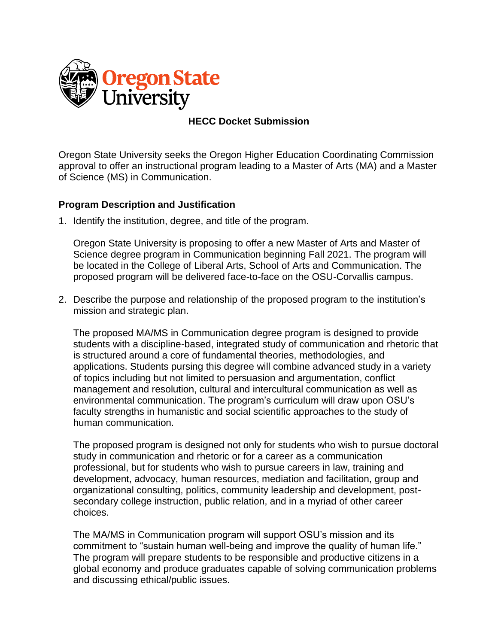

# **HECC Docket Submission**

Oregon State University seeks the Oregon Higher Education Coordinating Commission approval to offer an instructional program leading to a Master of Arts (MA) and a Master of Science (MS) in Communication.

# **Program Description and Justification**

1. Identify the institution, degree, and title of the program.

Oregon State University is proposing to offer a new Master of Arts and Master of Science degree program in Communication beginning Fall 2021. The program will be located in the College of Liberal Arts, School of Arts and Communication. The proposed program will be delivered face-to-face on the OSU-Corvallis campus.

2. Describe the purpose and relationship of the proposed program to the institution's mission and strategic plan.

The proposed MA/MS in Communication degree program is designed to provide students with a discipline-based, integrated study of communication and rhetoric that is structured around a core of fundamental theories, methodologies, and applications. Students pursing this degree will combine advanced study in a variety of topics including but not limited to persuasion and argumentation, conflict management and resolution, cultural and intercultural communication as well as environmental communication. The program's curriculum will draw upon OSU's faculty strengths in humanistic and social scientific approaches to the study of human communication.

The proposed program is designed not only for students who wish to pursue doctoral study in communication and rhetoric or for a career as a communication professional, but for students who wish to pursue careers in law, training and development, advocacy, human resources, mediation and facilitation, group and organizational consulting, politics, community leadership and development, postsecondary college instruction, public relation, and in a myriad of other career choices.

The MA/MS in Communication program will support OSU's mission and its commitment to "sustain human well-being and improve the quality of human life." The program will prepare students to be responsible and productive citizens in a global economy and produce graduates capable of solving communication problems and discussing ethical/public issues.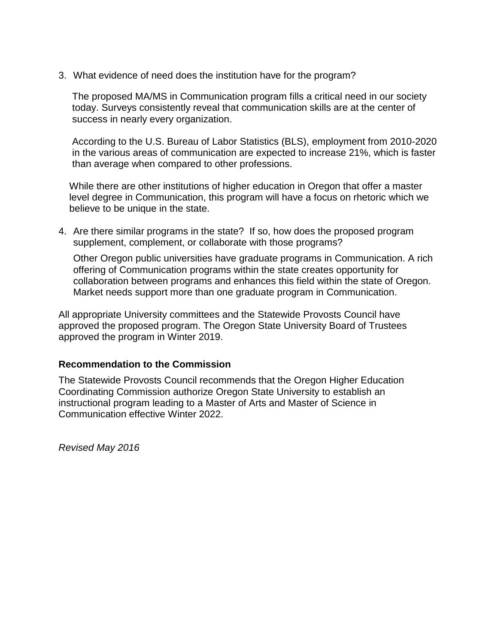3. What evidence of need does the institution have for the program?

The proposed MA/MS in Communication program fills a critical need in our society today. Surveys consistently reveal that communication skills are at the center of success in nearly every organization.

According to the U.S. Bureau of Labor Statistics (BLS), employment from 2010-2020 in the various areas of communication are expected to increase 21%, which is faster than average when compared to other professions.

While there are other institutions of higher education in Oregon that offer a master level degree in Communication, this program will have a focus on rhetoric which we believe to be unique in the state.

4. Are there similar programs in the state? If so, how does the proposed program supplement, complement, or collaborate with those programs?

Other Oregon public universities have graduate programs in Communication. A rich offering of Communication programs within the state creates opportunity for collaboration between programs and enhances this field within the state of Oregon. Market needs support more than one graduate program in Communication.

All appropriate University committees and the Statewide Provosts Council have approved the proposed program. The Oregon State University Board of Trustees approved the program in Winter 2019.

# **Recommendation to the Commission**

The Statewide Provosts Council recommends that the Oregon Higher Education Coordinating Commission authorize Oregon State University to establish an instructional program leading to a Master of Arts and Master of Science in Communication effective Winter 2022.

*Revised May 2016*